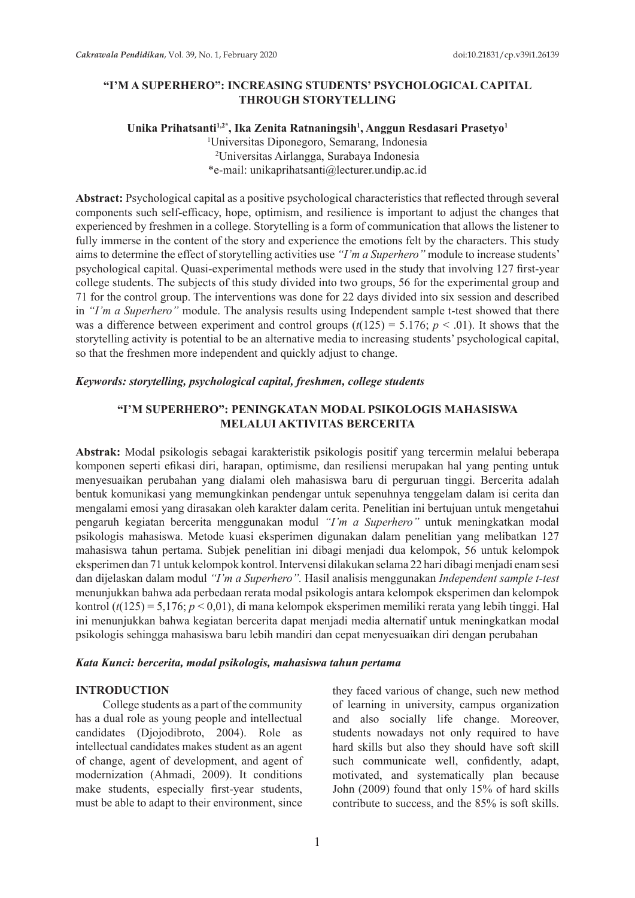## **"I'M A SUPERHERO": INCREASING STUDENTS' PSYCHOLOGICAL CAPITAL THROUGH STORYTELLING**

### Unika Prihatsanti<sup>1,2\*</sup>, Ika Zenita Ratnaningsih<sup>1</sup>, Anggun Resdasari Prasetyo<sup>1</sup> 1 Universitas Diponegoro, Semarang, Indonesia 2 Universitas Airlangga, Surabaya Indonesia \*e-mail: unikaprihatsanti@lecturer.undip.ac.id

**Abstract:** Psychological capital as a positive psychological characteristics that reflected through several components such self-efficacy, hope, optimism, and resilience is important to adjust the changes that experienced by freshmen in a college. Storytelling is a form of communication that allows the listener to fully immerse in the content of the story and experience the emotions felt by the characters. This study aims to determine the effect of storytelling activities use *"I'm a Superhero"* module to increase students' psychological capital. Quasi-experimental methods were used in the study that involving 127 first-year college students. The subjects of this study divided into two groups, 56 for the experimental group and 71 for the control group. The interventions was done for 22 days divided into six session and described in *"I'm a Superhero"* module. The analysis results using Independent sample t-test showed that there was a difference between experiment and control groups  $(t(125) = 5.176; p < .01)$ . It shows that the storytelling activity is potential to be an alternative media to increasing students' psychological capital, so that the freshmen more independent and quickly adjust to change.

## *Keywords: storytelling, psychological capital, freshmen, college students*

### **"I'M SUPERHERO": PENINGKATAN MODAL PSIKOLOGIS MAHASISWA MELALUI AKTIVITAS BERCERITA**

**Abstrak:** Modal psikologis sebagai karakteristik psikologis positif yang tercermin melalui beberapa komponen seperti efikasi diri, harapan, optimisme, dan resiliensi merupakan hal yang penting untuk menyesuaikan perubahan yang dialami oleh mahasiswa baru di perguruan tinggi. Bercerita adalah bentuk komunikasi yang memungkinkan pendengar untuk sepenuhnya tenggelam dalam isi cerita dan mengalami emosi yang dirasakan oleh karakter dalam cerita. Penelitian ini bertujuan untuk mengetahui pengaruh kegiatan bercerita menggunakan modul *"I'm a Superhero"* untuk meningkatkan modal psikologis mahasiswa. Metode kuasi eksperimen digunakan dalam penelitian yang melibatkan 127 mahasiswa tahun pertama. Subjek penelitian ini dibagi menjadi dua kelompok, 56 untuk kelompok eksperimen dan 71 untuk kelompok kontrol. Intervensi dilakukan selama 22 hari dibagi menjadi enam sesi dan dijelaskan dalam modul *"I'm a Superhero".* Hasil analisis menggunakan *Independent sample t-test* menunjukkan bahwa ada perbedaan rerata modal psikologis antara kelompok eksperimen dan kelompok kontrol (*t*(125) = 5,176; *p* < 0,01), di mana kelompok eksperimen memiliki rerata yang lebih tinggi. Hal ini menunjukkan bahwa kegiatan bercerita dapat menjadi media alternatif untuk meningkatkan modal psikologis sehingga mahasiswa baru lebih mandiri dan cepat menyesuaikan diri dengan perubahan

#### *Kata Kunci: bercerita, modal psikologis, mahasiswa tahun pertama*

#### **INTRODUCTION**

College students as a part of the community has a dual role as young people and intellectual candidates (Djojodibroto, 2004). Role as intellectual candidates makes student as an agent of change, agent of development, and agent of modernization (Ahmadi, 2009). It conditions make students, especially first-year students, must be able to adapt to their environment, since

they faced various of change, such new method of learning in university, campus organization and also socially life change. Moreover, students nowadays not only required to have hard skills but also they should have soft skill such communicate well, confidently, adapt, motivated, and systematically plan because John (2009) found that only 15% of hard skills contribute to success, and the 85% is soft skills.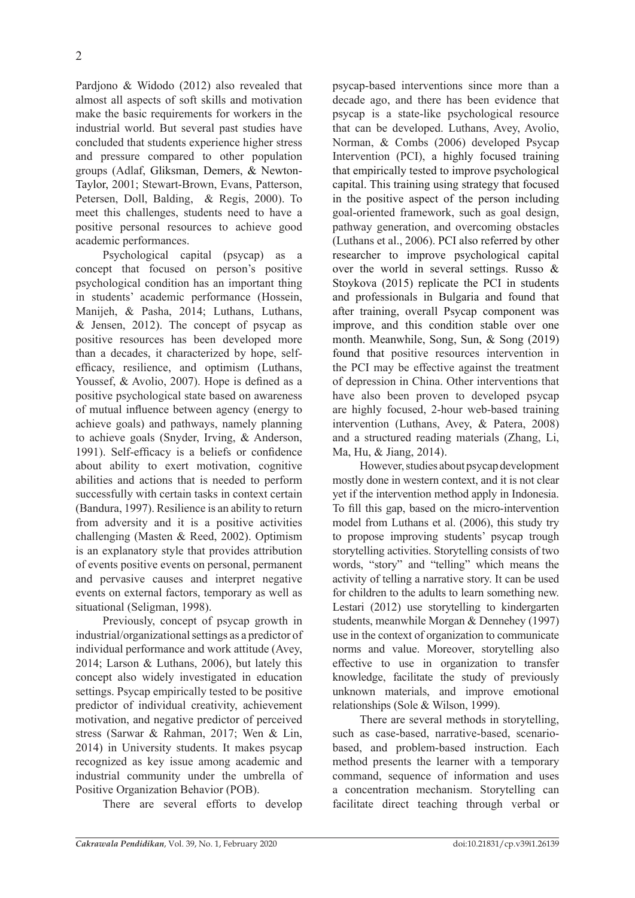Pardjono & Widodo (2012) also revealed that almost all aspects of soft skills and motivation make the basic requirements for workers in the industrial world. But several past studies have concluded that students experience higher stress and pressure compared to other population groups (Adlaf, Gliksman, Demers, & Newton-Taylor, 2001; Stewart-Brown, Evans, Patterson, Petersen, Doll, Balding, & Regis, 2000). To meet this challenges, students need to have a positive personal resources to achieve good academic performances.

Psychological capital (psycap) as a concept that focused on person's positive psychological condition has an important thing in students' academic performance (Hossein, Manijeh, & Pasha, 2014; Luthans, Luthans, & Jensen, 2012). The concept of psycap as positive resources has been developed more than a decades, it characterized by hope, selfefficacy, resilience, and optimism (Luthans, Youssef, & Avolio, 2007). Hope is defined as a positive psychological state based on awareness of mutual influence between agency (energy to achieve goals) and pathways, namely planning to achieve goals (Snyder, Irving, & Anderson, 1991). Self-efficacy is a beliefs or confidence about ability to exert motivation, cognitive abilities and actions that is needed to perform successfully with certain tasks in context certain (Bandura, 1997). Resilience is an ability to return from adversity and it is a positive activities challenging (Masten & Reed, 2002). Optimism is an explanatory style that provides attribution of events positive events on personal, permanent and pervasive causes and interpret negative events on external factors, temporary as well as situational (Seligman, 1998).

Previously, concept of psycap growth in industrial/organizational settings as a predictor of individual performance and work attitude (Avey, 2014; Larson & Luthans, 2006), but lately this concept also widely investigated in education settings. Psycap empirically tested to be positive predictor of individual creativity, achievement motivation, and negative predictor of perceived stress (Sarwar & Rahman, 2017; Wen & Lin, 2014) in University students. It makes psycap recognized as key issue among academic and industrial community under the umbrella of Positive Organization Behavior (POB).

There are several efforts to develop

psycap-based interventions since more than a decade ago, and there has been evidence that psycap is a state-like psychological resource that can be developed. Luthans, Avey, Avolio, Norman, & Combs (2006) developed Psycap Intervention (PCI), a highly focused training that empirically tested to improve psychological capital. This training using strategy that focused in the positive aspect of the person including goal-oriented framework, such as goal design, pathway generation, and overcoming obstacles (Luthans et al., 2006). PCI also referred by other researcher to improve psychological capital over the world in several settings. Russo & Stoykova (2015) replicate the PCI in students and professionals in Bulgaria and found that after training, overall Psycap component was improve, and this condition stable over one month. Meanwhile, Song, Sun, & Song (2019) found that positive resources intervention in the PCI may be effective against the treatment of depression in China. Other interventions that have also been proven to developed psycap are highly focused, 2-hour web-based training intervention (Luthans, Avey, & Patera, 2008) and a structured reading materials (Zhang, Li, Ma, Hu, & Jiang, 2014).

However, studies about psycap development mostly done in western context, and it is not clear yet if the intervention method apply in Indonesia. To fill this gap, based on the micro-intervention model from Luthans et al. (2006), this study try to propose improving students' psycap trough storytelling activities. Storytelling consists of two words, "story" and "telling" which means the activity of telling a narrative story. It can be used for children to the adults to learn something new. Lestari (2012) use storytelling to kindergarten students, meanwhile Morgan & Dennehey (1997) use in the context of organization to communicate norms and value. Moreover, storytelling also effective to use in organization to transfer knowledge, facilitate the study of previously unknown materials, and improve emotional relationships (Sole & Wilson, 1999).

There are several methods in storytelling, such as case-based, narrative-based, scenariobased, and problem-based instruction. Each method presents the learner with a temporary command, sequence of information and uses a concentration mechanism. Storytelling can facilitate direct teaching through verbal or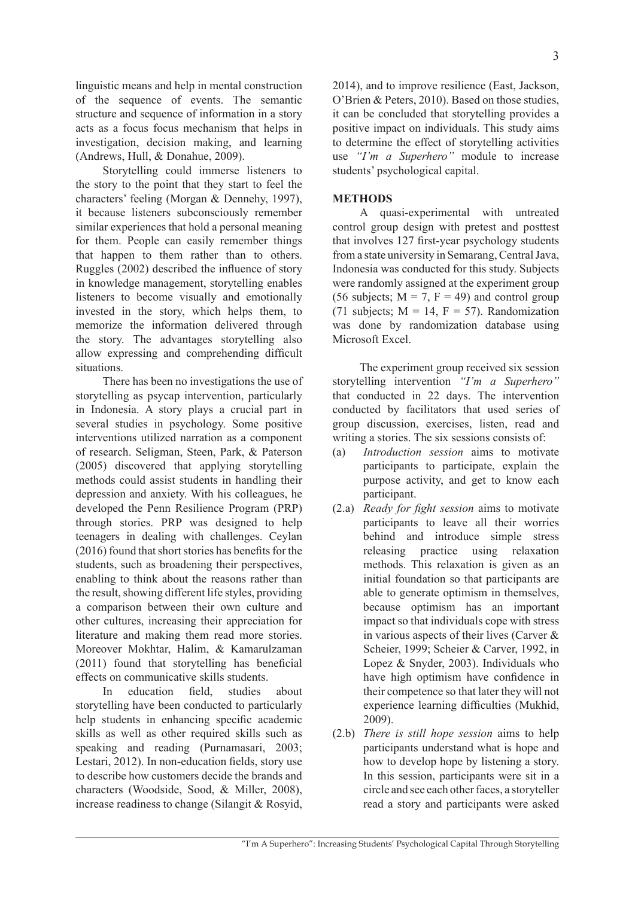linguistic means and help in mental construction of the sequence of events. The semantic structure and sequence of information in a story acts as a focus focus mechanism that helps in investigation, decision making, and learning (Andrews, Hull, & Donahue, 2009).

Storytelling could immerse listeners to the story to the point that they start to feel the characters' feeling (Morgan & Dennehy, 1997), it because listeners subconsciously remember similar experiences that hold a personal meaning for them. People can easily remember things that happen to them rather than to others. Ruggles (2002) described the influence of story in knowledge management, storytelling enables listeners to become visually and emotionally invested in the story, which helps them, to memorize the information delivered through the story. The advantages storytelling also allow expressing and comprehending difficult situations.

There has been no investigations the use of storytelling as psycap intervention, particularly in Indonesia. A story plays a crucial part in several studies in psychology. Some positive interventions utilized narration as a component of research. Seligman, Steen, Park, & Paterson (2005) discovered that applying storytelling methods could assist students in handling their depression and anxiety. With his colleagues, he developed the Penn Resilience Program (PRP) through stories. PRP was designed to help teenagers in dealing with challenges. Ceylan (2016) found that short stories has benefits for the students, such as broadening their perspectives, enabling to think about the reasons rather than the result, showing different life styles, providing a comparison between their own culture and other cultures, increasing their appreciation for literature and making them read more stories. Moreover Mokhtar, Halim, & Kamarulzaman (2011) found that storytelling has beneficial effects on communicative skills students.

In education field, studies about storytelling have been conducted to particularly help students in enhancing specific academic skills as well as other required skills such as speaking and reading (Purnamasari, 2003; Lestari, 2012). In non-education fields, story use to describe how customers decide the brands and characters (Woodside, Sood, & Miller, 2008), increase readiness to change (Silangit & Rosyid, 2014), and to improve resilience (East, Jackson, O'Brien & Peters, 2010). Based on those studies, it can be concluded that storytelling provides a positive impact on individuals. This study aims to determine the effect of storytelling activities use *"I'm a Superhero"* module to increase students' psychological capital.

### **METHODS**

A quasi-experimental with untreated control group design with pretest and posttest that involves 127 first-year psychology students from a state university in Semarang, Central Java, Indonesia was conducted for this study. Subjects were randomly assigned at the experiment group (56 subjects;  $M = 7$ ,  $F = 49$ ) and control group (71 subjects;  $M = 14$ ,  $F = 57$ ). Randomization was done by randomization database using Microsoft Excel.

The experiment group received six session storytelling intervention *"I'm a Superhero"* that conducted in 22 days. The intervention conducted by facilitators that used series of group discussion, exercises, listen, read and writing a stories. The six sessions consists of:

- (a) *Introduction session* aims to motivate participants to participate, explain the purpose activity, and get to know each participant.
- (2.a) *Ready for fight session* aims to motivate participants to leave all their worries behind and introduce simple stress releasing practice using relaxation methods. This relaxation is given as an initial foundation so that participants are able to generate optimism in themselves, because optimism has an important impact so that individuals cope with stress in various aspects of their lives (Carver & Scheier, 1999; Scheier & Carver, 1992, in Lopez & Snyder, 2003). Individuals who have high optimism have confidence in their competence so that later they will not experience learning difficulties (Mukhid, 2009).
- (2.b) *There is still hope session* aims to help participants understand what is hope and how to develop hope by listening a story. In this session, participants were sit in a circle and see each other faces, a storyteller read a story and participants were asked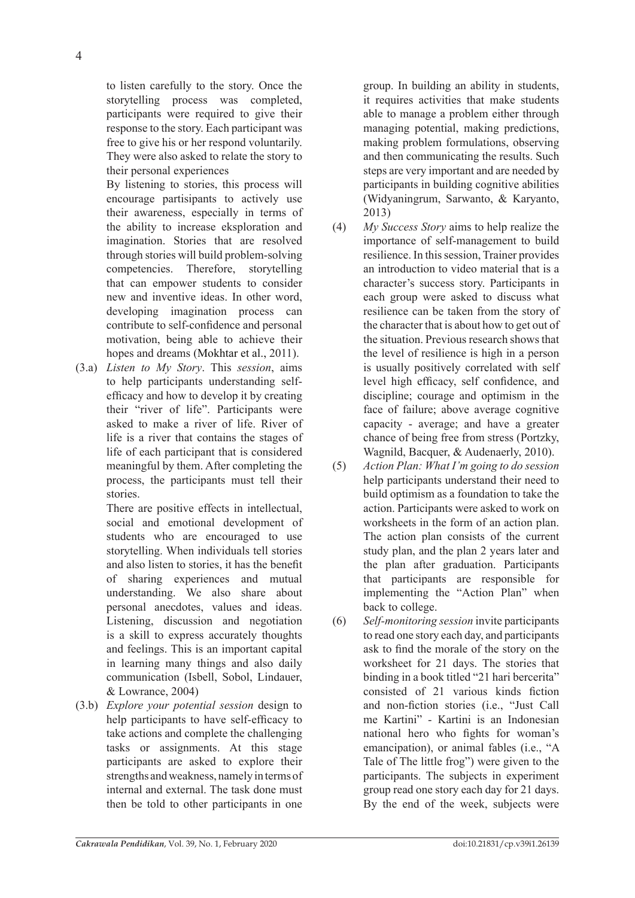to listen carefully to the story. Once the storytelling process was completed, participants were required to give their response to the story. Each participant was free to give his or her respond voluntarily. They were also asked to relate the story to their personal experiences

By listening to stories, this process will encourage partisipants to actively use their awareness, especially in terms of the ability to increase eksploration and imagination. Stories that are resolved through stories will build problem-solving competencies. Therefore, storytelling that can empower students to consider new and inventive ideas. In other word, developing imagination process can contribute to self-confidence and personal motivation, being able to achieve their hopes and dreams (Mokhtar et al., 2011).

(3.a) *Listen to My Story*. This *session*, aims to help participants understanding selfefficacy and how to develop it by creating their "river of life". Participants were asked to make a river of life. River of life is a river that contains the stages of life of each participant that is considered meaningful by them. After completing the process, the participants must tell their stories.

There are positive effects in intellectual, social and emotional development of students who are encouraged to use storytelling. When individuals tell stories and also listen to stories, it has the benefit of sharing experiences and mutual understanding. We also share about personal anecdotes, values and ideas. Listening, discussion and negotiation is a skill to express accurately thoughts and feelings. This is an important capital in learning many things and also daily communication (Isbell, Sobol, Lindauer, & Lowrance, 2004)

(3.b) *Explore your potential session* design to help participants to have self-efficacy to take actions and complete the challenging tasks or assignments. At this stage participants are asked to explore their strengths and weakness, namely in terms of internal and external. The task done must then be told to other participants in one group. In building an ability in students, it requires activities that make students able to manage a problem either through managing potential, making predictions, making problem formulations, observing and then communicating the results. Such steps are very important and are needed by participants in building cognitive abilities (Widyaningrum, Sarwanto, & Karyanto, 2013)

- (4) *My Success Story* aims to help realize the importance of self-management to build resilience. In this session, Trainer provides an introduction to video material that is a character's success story. Participants in each group were asked to discuss what resilience can be taken from the story of the character that is about how to get out of the situation. Previous research shows that the level of resilience is high in a person is usually positively correlated with self level high efficacy, self confidence, and discipline; courage and optimism in the face of failure; above average cognitive capacity - average; and have a greater chance of being free from stress (Portzky, Wagnild, Bacquer, & Audenaerly, 2010).
- (5) *Action Plan: What I'm going to do session* help participants understand their need to build optimism as a foundation to take the action. Participants were asked to work on worksheets in the form of an action plan. The action plan consists of the current study plan, and the plan 2 years later and the plan after graduation. Participants that participants are responsible for implementing the "Action Plan" when back to college.
- (6) *Self-monitoring session* invite participants to read one story each day, and participants ask to find the morale of the story on the worksheet for 21 days. The stories that binding in a book titled "21 hari bercerita" consisted of 21 various kinds fiction and non-fiction stories (i.e., "Just Call me Kartini" - Kartini is an Indonesian national hero who fights for woman's emancipation), or animal fables (i.e., "A Tale of The little frog") were given to the participants. The subjects in experiment group read one story each day for 21 days. By the end of the week, subjects were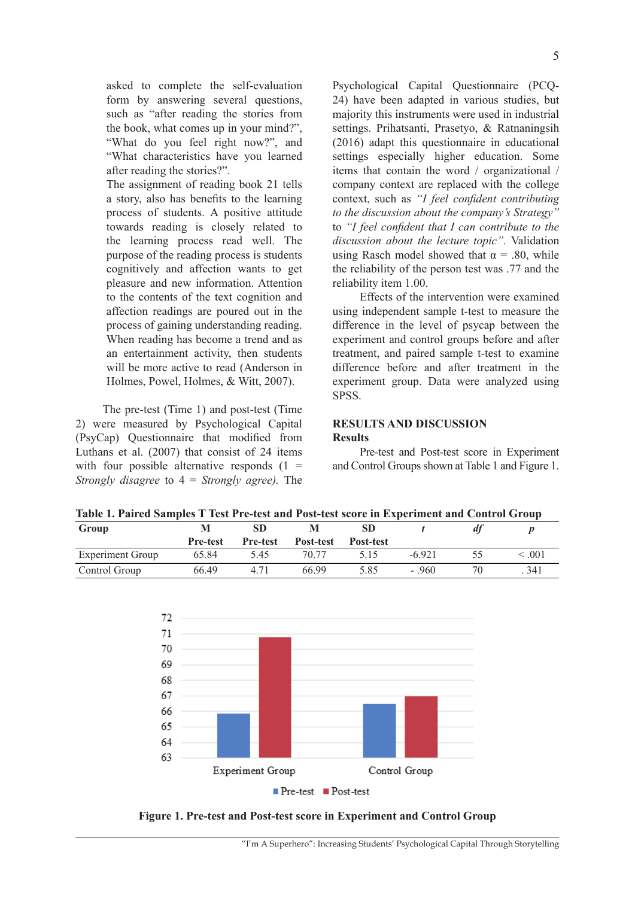asked to complete the self-evaluation form by answering several questions, such as "after reading the stories from the book, what comes up in your mind?", "What do you feel right now?", and "What characteristics have you learned after reading the stories?".

The assignment of reading book 21 tells a story, also has benefits to the learning process of students. A positive attitude towards reading is closely related to the learning process read well. The purpose of the reading process is students cognitively and affection wants to get pleasure and new information. Attention to the contents of the text cognition and affection readings are poured out in the process of gaining understanding reading. When reading has become a trend and as an entertainment activity, then students will be more active to read (Anderson in Holmes, Powel, Holmes, & Witt, 2007).

The pre-test (Time 1) and post-test (Time 2) were measured by Psychological Capital (PsyCap) Questionnaire that modified from Luthans et al. (2007) that consist of 24 items with four possible alternative responds  $(1 =$ *Strongly disagree* to 4 = *Strongly agree).* The Psychological Capital Questionnaire (PCQ-24) have been adapted in various studies, but majority this instruments were used in industrial settings. Prihatsanti, Prasetyo, & Ratnaningsih (2016) adapt this questionnaire in educational settings especially higher education. Some items that contain the word / organizational / company context are replaced with the college context, such as *"I feel confident contributing to the discussion about the company's Strategy"* to *"I feel confident that I can contribute to the discussion about the lecture topic".* Validation using Rasch model showed that  $\alpha$  = .80, while the reliability of the person test was .77 and the reliability item 1.00.

Effects of the intervention were examined using independent sample t-test to measure the difference in the level of psycap between the experiment and control groups before and after treatment, and paired sample t-test to examine difference before and after treatment in the experiment group. Data were analyzed using SPSS.

### **RESULTS AND DISCUSSION Results**

Pre-test and Post-test score in Experiment and Control Groups shown at Table 1 and Figure 1.

| Table 1. Paired Samples 1 Test Pre-test and Post-test score in Experiment and Control Group |                 |                 |           |                  |         |    |             |
|---------------------------------------------------------------------------------------------|-----------------|-----------------|-----------|------------------|---------|----|-------------|
| Group                                                                                       |                 | SD              |           |                  |         |    |             |
|                                                                                             | <b>Pre-test</b> | <b>Pre-test</b> | Post-test | <b>Post-test</b> |         |    |             |
| <b>Experiment Group</b>                                                                     | 65.84           | 5.45            | 70.77     | 5.15             | $-6921$ | ヽヽ | $\leq 0.01$ |
| Control Group                                                                               | 66.49           | 4.71            | 66.99     | 5.85             | $-960$  |    | 341         |

**Table 1. Paired Samples T Test Pre-test and Post-test score in Experiment and Control Group**



**Figure 1. Pre-test and Post-test score in Experiment and Control Group**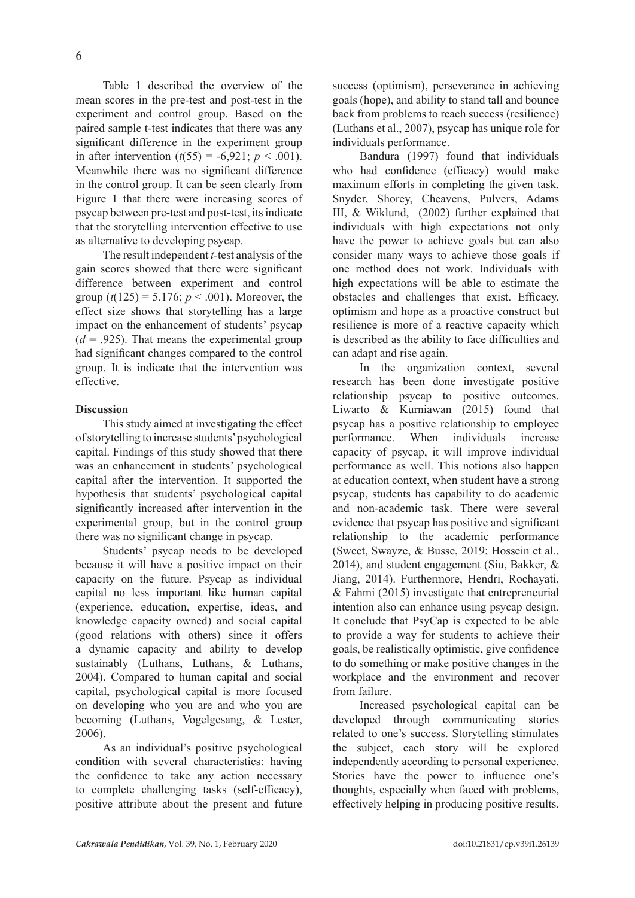6

Table 1 described the overview of the mean scores in the pre-test and post-test in the experiment and control group. Based on the paired sample t-test indicates that there was any significant difference in the experiment group in after intervention  $(t(55) = -6.921; p < .001)$ . Meanwhile there was no significant difference in the control group. It can be seen clearly from Figure 1 that there were increasing scores of psycap between pre-test and post-test, its indicate that the storytelling intervention effective to use as alternative to developing psycap.

The result independent *t-*test analysis of the gain scores showed that there were significant difference between experiment and control group  $(t(125) = 5.176; p < .001)$ . Moreover, the effect size shows that storytelling has a large impact on the enhancement of students' psycap  $(d = .925)$ . That means the experimental group had significant changes compared to the control group. It is indicate that the intervention was effective.

# **Discussion**

This study aimed at investigating the effect of storytelling to increase students' psychological capital. Findings of this study showed that there was an enhancement in students' psychological capital after the intervention. It supported the hypothesis that students' psychological capital significantly increased after intervention in the experimental group, but in the control group there was no significant change in psycap.

Students' psycap needs to be developed because it will have a positive impact on their capacity on the future. Psycap as individual capital no less important like human capital (experience, education, expertise, ideas, and knowledge capacity owned) and social capital (good relations with others) since it offers a dynamic capacity and ability to develop sustainably (Luthans, Luthans, & Luthans, 2004). Compared to human capital and social capital, psychological capital is more focused on developing who you are and who you are becoming (Luthans, Vogelgesang, & Lester, 2006).

As an individual's positive psychological condition with several characteristics: having the confidence to take any action necessary to complete challenging tasks (self-efficacy), positive attribute about the present and future success (optimism), perseverance in achieving goals (hope), and ability to stand tall and bounce back from problems to reach success (resilience) (Luthans et al., 2007), psycap has unique role for individuals performance.

Bandura (1997) found that individuals who had confidence (efficacy) would make maximum efforts in completing the given task. Snyder, Shorey, Cheavens, Pulvers, Adams III, & Wiklund, (2002) further explained that individuals with high expectations not only have the power to achieve goals but can also consider many ways to achieve those goals if one method does not work. Individuals with high expectations will be able to estimate the obstacles and challenges that exist. Efficacy, optimism and hope as a proactive construct but resilience is more of a reactive capacity which is described as the ability to face difficulties and can adapt and rise again.

In the organization context, several research has been done investigate positive relationship psycap to positive outcomes. Liwarto & Kurniawan (2015) found that psycap has a positive relationship to employee performance. When individuals increase capacity of psycap, it will improve individual performance as well. This notions also happen at education context, when student have a strong psycap, students has capability to do academic and non-academic task. There were several evidence that psycap has positive and significant relationship to the academic performance (Sweet, Swayze, & Busse, 2019; Hossein et al., 2014), and student engagement (Siu, Bakker, & Jiang, 2014). Furthermore, Hendri, Rochayati, & Fahmi (2015) investigate that entrepreneurial intention also can enhance using psycap design. It conclude that PsyCap is expected to be able to provide a way for students to achieve their goals, be realistically optimistic, give confidence to do something or make positive changes in the workplace and the environment and recover from failure.

Increased psychological capital can be developed through communicating stories related to one's success. Storytelling stimulates the subject, each story will be explored independently according to personal experience. Stories have the power to influence one's thoughts, especially when faced with problems, effectively helping in producing positive results.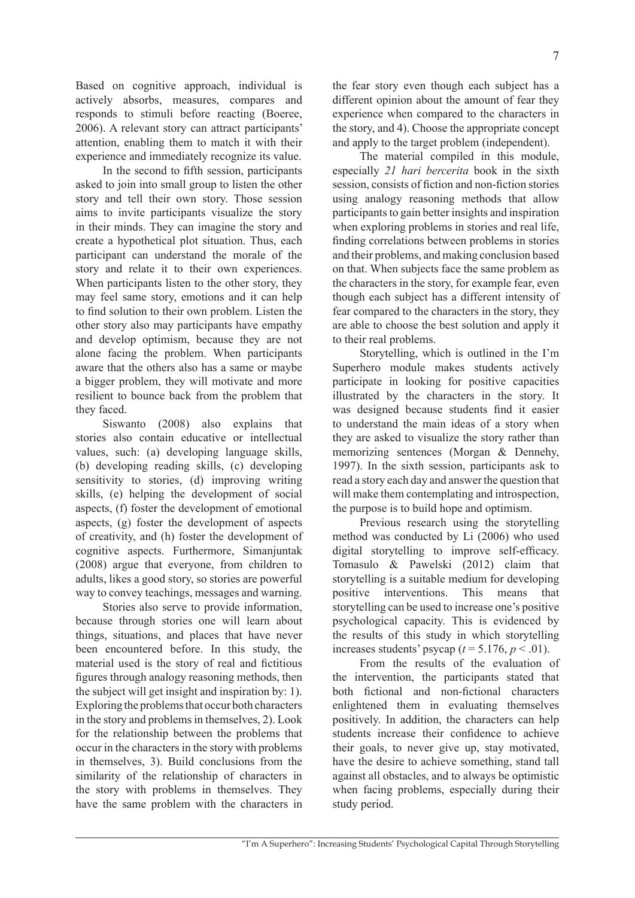Based on cognitive approach, individual is actively absorbs, measures, compares and responds to stimuli before reacting (Boeree, 2006). A relevant story can attract participants' attention, enabling them to match it with their experience and immediately recognize its value.

In the second to fifth session, participants asked to join into small group to listen the other story and tell their own story. Those session aims to invite participants visualize the story in their minds. They can imagine the story and create a hypothetical plot situation. Thus, each participant can understand the morale of the story and relate it to their own experiences. When participants listen to the other story, they may feel same story, emotions and it can help to find solution to their own problem. Listen the other story also may participants have empathy and develop optimism, because they are not alone facing the problem. When participants aware that the others also has a same or maybe a bigger problem, they will motivate and more resilient to bounce back from the problem that they faced.

Siswanto (2008) also explains that stories also contain educative or intellectual values, such: (a) developing language skills, (b) developing reading skills, (c) developing sensitivity to stories, (d) improving writing skills, (e) helping the development of social aspects, (f) foster the development of emotional aspects, (g) foster the development of aspects of creativity, and (h) foster the development of cognitive aspects. Furthermore, Simanjuntak (2008) argue that everyone, from children to adults, likes a good story, so stories are powerful way to convey teachings, messages and warning.

Stories also serve to provide information, because through stories one will learn about things, situations, and places that have never been encountered before. In this study, the material used is the story of real and fictitious figures through analogy reasoning methods, then the subject will get insight and inspiration by: 1). Exploring the problems that occur both characters in the story and problems in themselves, 2). Look for the relationship between the problems that occur in the characters in the story with problems in themselves, 3). Build conclusions from the similarity of the relationship of characters in the story with problems in themselves. They have the same problem with the characters in the fear story even though each subject has a different opinion about the amount of fear they experience when compared to the characters in the story, and 4). Choose the appropriate concept and apply to the target problem (independent).

The material compiled in this module, especially *21 hari bercerita* book in the sixth session, consists of fiction and non-fiction stories using analogy reasoning methods that allow participants to gain better insights and inspiration when exploring problems in stories and real life, finding correlations between problems in stories and their problems, and making conclusion based on that. When subjects face the same problem as the characters in the story, for example fear, even though each subject has a different intensity of fear compared to the characters in the story, they are able to choose the best solution and apply it to their real problems.

Storytelling, which is outlined in the I'm Superhero module makes students actively participate in looking for positive capacities illustrated by the characters in the story. It was designed because students find it easier to understand the main ideas of a story when they are asked to visualize the story rather than memorizing sentences (Morgan & Dennehy, 1997). In the sixth session, participants ask to read a story each day and answer the question that will make them contemplating and introspection, the purpose is to build hope and optimism.

Previous research using the storytelling method was conducted by Li (2006) who used digital storytelling to improve self-efficacy. Tomasulo & Pawelski (2012) claim that storytelling is a suitable medium for developing positive interventions. This means that storytelling can be used to increase one's positive psychological capacity. This is evidenced by the results of this study in which storytelling increases students' psycap ( $t = 5.176$ ,  $p < .01$ ).

From the results of the evaluation of the intervention, the participants stated that both fictional and non-fictional characters enlightened them in evaluating themselves positively. In addition, the characters can help students increase their confidence to achieve their goals, to never give up, stay motivated, have the desire to achieve something, stand tall against all obstacles, and to always be optimistic when facing problems, especially during their study period.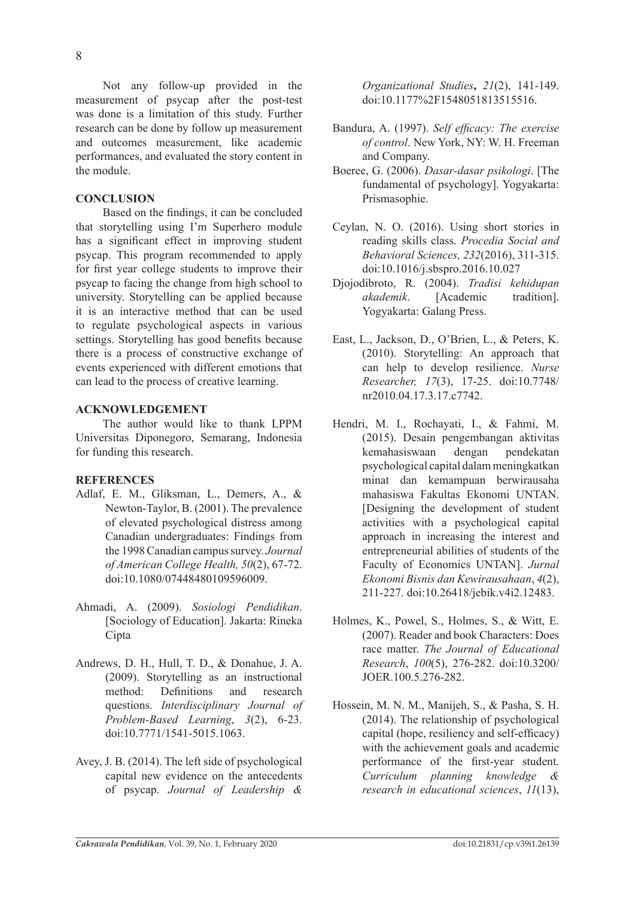Not any follow-up provided in the measurement of psycap after the post-test was done is a limitation of this study. Further research can be done by follow up measurement and outcomes measurement, like academic performances, and evaluated the story content in the module.

### **CONCLUSION**

Based on the findings, it can be concluded that storytelling using I'm Superhero module has a significant effect in improving student psycap. This program recommended to apply for first year college students to improve their psycap to facing the change from high school to university. Storytelling can be applied because it is an interactive method that can be used to regulate psychological aspects in various settings. Storytelling has good benefits because there is a process of constructive exchange of events experienced with different emotions that can lead to the process of creative learning.

#### **ACKNOWLEDGEMENT**

The author would like to thank LPPM Universitas Diponegoro, Semarang, Indonesia for funding this research.

#### **REFERENCES**

- Adlaf, E. M., Gliksman, L., Demers, A., & Newton-Taylor, B. (2001). The prevalence of elevated psychological distress among Canadian undergraduates: Findings from the 1998 Canadian campus survey. *Journal of American College Health, 50*(2), 67-72. doi:10.1080/07448480109596009.
- Ahmadi, A. (2009). *Sosiologi Pendidikan*. [Sociology of Education]. Jakarta: Rineka Cipta
- Andrews, D. H., Hull, T. D., & Donahue, J. A. (2009). Storytelling as an instructional method: Definitions and research questions. *Interdisciplinary Journal of Problem-Based Learning*, *3*(2), 6-23. doi:10.7771/1541-5015.1063.
- Avey, J. B. (2014). The left side of psychological capital new evidence on the antecedents of psycap. *Journal of Leadership &*

*Organizational Studies***,** *21*(2), 141-149. doi:10.1177%2F1548051813515516.

- Bandura, A. (1997). *Self efficacy: The exercise of control*. New York, NY: W. H. Freeman and Company.
- Boeree, G. (2006). *Dasar-dasar psikologi*. [The fundamental of psychology]. Yogyakarta: Prismasophie.
- Ceylan, N. O. (2016). Using short stories in reading skills class. *Procedia Social and Behavioral Sciences, 232*(2016), 311-315. doi:10.1016/j.sbspro.2016.10.027
- Djojodibroto, R. (2004). *Tradisi kehidupan akademik*. [Academic tradition]. Yogyakarta: Galang Press.
- East, L., Jackson, D., O'Brien, L., & Peters, K. (2010). Storytelling: An approach that can help to develop resilience. *Nurse Researcher, 17*(3), 17-25. doi:10.7748/ nr2010.04.17.3.17.c7742.
- Hendri, M. I., Rochayati, I., & Fahmi, M. (2015). Desain pengembangan aktivitas kemahasiswaan dengan pendekatan psychological capital dalam meningkatkan minat dan kemampuan berwirausaha mahasiswa Fakultas Ekonomi UNTAN. [Designing the development of student activities with a psychological capital approach in increasing the interest and entrepreneurial abilities of students of the Faculty of Economics UNTAN]. *Jurnal Ekonomi Bisnis dan Kewirausahaan*, *4*(2), 211-227. doi:10.26418/jebik.v4i2.12483.
- Holmes, K., Powel, S., Holmes, S., & Witt, E. (2007). Reader and book Characters: Does race matter. *The Journal of Educational Research*, *100*(5), 276-282. doi:10.3200/ JOER.100.5.276-282.
- Hossein, M. N. M., Manijeh, S., & Pasha, S. H. (2014). The relationship of psychological capital (hope, resiliency and self-efficacy) with the achievement goals and academic performance of the first-year student. *Curriculum planning knowledge & research in educational sciences*, *11*(13),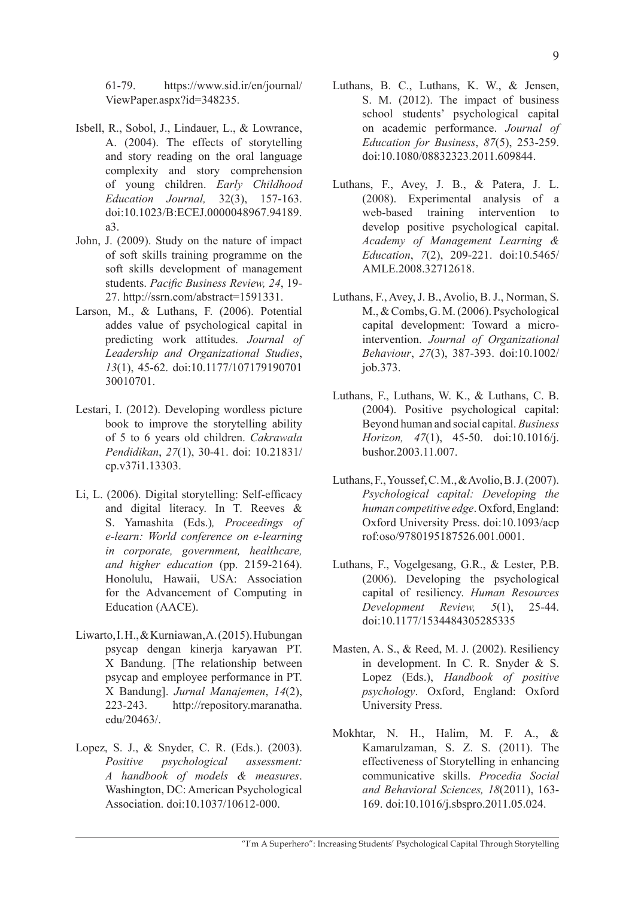- Isbell, R., Sobol, J., Lindauer, L., & Lowrance, A. (2004). The effects of storytelling and story reading on the oral language complexity and story comprehension of young children. *Early Childhood Education Journal,* 32(3), 157-163. doi:10.1023/B:ECEJ.0000048967.94189. a3.
- John, J. (2009). Study on the nature of impact of soft skills training programme on the soft skills development of management students. *Pacific Business Review, 24*, 19- 27. http://ssrn.com/abstract=1591331.
- Larson, M., & Luthans, F. (2006). Potential addes value of psychological capital in predicting work attitudes. *Journal of Leadership and Organizational Studies*, *13*(1), 45-62. doi:10.1177/107179190701 30010701.
- Lestari, I. (2012). Developing wordless picture book to improve the storytelling ability of 5 to 6 years old children. *Cakrawala Pendidikan*, *27*(1), 30-41. doi: 10.21831/ cp.v37i1.13303.
- Li, L. (2006). Digital storytelling: Self-efficacy and digital literacy. In T. Reeves & S. Yamashita (Eds.)*, Proceedings of e-learn: World conference on e-learning in corporate, government, healthcare, and higher education* (pp. 2159-2164). Honolulu, Hawaii, USA: Association for the Advancement of Computing in Education (AACE).
- Liwarto, I. H., & Kurniawan, A. (2015). Hubungan psycap dengan kinerja karyawan PT. X Bandung. [The relationship between psycap and employee performance in PT. X Bandung]. *Jurnal Manajemen*, *14*(2), 223-243. http://repository.maranatha. edu/20463/.
- Lopez, S. J., & Snyder, C. R. (Eds.). (2003). *Positive psychological assessment: A handbook of models & measures*. Washington, DC: American Psychological Association. doi:10.1037/10612-000.
- Luthans, B. C., Luthans, K. W., & Jensen, S. M. (2012). The impact of business school students' psychological capital on academic performance. *Journal of Education for Business*, *87*(5), 253-259. doi:10.1080/08832323.2011.609844.
- Luthans, F., Avey, J. B., & Patera, J. L. (2008). Experimental analysis of a web-based training intervention to develop positive psychological capital. *Academy of Management Learning & Education*, *7*(2), 209-221. doi:10.5465/ AMLE.2008.32712618.
- Luthans, F., Avey, J. B., Avolio, B. J., Norman, S. M., & Combs, G. M. (2006). Psychological capital development: Toward a microintervention. *Journal of Organizational Behaviour*, *27*(3), 387-393. doi:10.1002/ job.373.
- Luthans, F., Luthans, W. K., & Luthans, C. B. (2004). Positive psychological capital: Beyond human and social capital. *Business Horizon, 47*(1), 45-50. doi:10.1016/j. bushor.2003.11.007.
- Luthans, F., Youssef, C. M., & Avolio, B. J. (2007). *Psychological capital: Developing the human competitive edge*. Oxford, England: Oxford University Press. doi:10.1093/acp rof:oso/9780195187526.001.0001.
- Luthans, F., Vogelgesang, G.R., & Lester, P.B. (2006). Developing the psychological capital of resiliency. *Human Resources Development Review, 5*(1), 25-44. doi:10.1177/1534484305285335
- Masten, A. S., & Reed, M. J. (2002). Resiliency in development. In C. R. Snyder & S. Lopez (Eds.), *Handbook of positive psychology*. Oxford, England: Oxford University Press.
- Mokhtar, N. H., Halim, M. F. A., & Kamarulzaman, S. Z. S. (2011). The effectiveness of Storytelling in enhancing communicative skills. *Procedia Social and Behavioral Sciences, 18*(2011), 163- 169. doi:10.1016/j.sbspro.2011.05.024.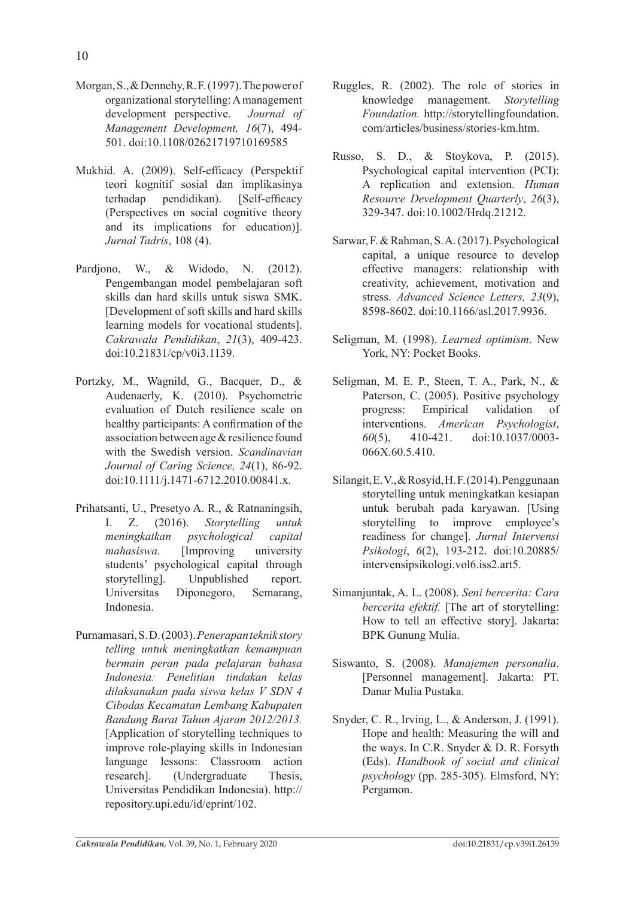- Morgan, S., & Dennehy, R. F. (1997). The power of organizational storytelling: A management development perspective. *Journal of Management Development, 16*(7), 494- 501. doi:10.1108/02621719710169585
- Mukhid. A. (2009). Self-efficacy (Perspektif teori kognitif sosial dan implikasinya terhadap pendidikan). [Self-efficacy (Perspectives on social cognitive theory and its implications for education)]. *Jurnal Tadris*, 108 (4).
- Pardjono, W., & Widodo, N. (2012). Pengembangan model pembelajaran soft skills dan hard skills untuk siswa SMK. [Development of soft skills and hard skills learning models for vocational students]. *Cakrawala Pendidikan*, *21*(3), 409-423. doi:10.21831/cp/v0i3.1139.
- Portzky, M., Wagnild, G., Bacquer, D., & Audenaerly, K. (2010). Psychometric evaluation of Dutch resilience scale on healthy participants: A confirmation of the association between age & resilience found with the Swedish version. *Scandinavian Journal of Caring Science, 24*(1), 86-92. doi:10.1111/j.1471-6712.2010.00841.x.
- Prihatsanti, U., Presetyo A. R., & Ratnaningsih, I. Z. (2016). *Storytelling untuk meningkatkan psychological capital mahasiswa.* [Improving university students' psychological capital through storytelling]. Unpublished report. Universitas Diponegoro, Semarang, Indonesia.
- Purnamasari, S. D. (2003). *Penerapan teknik story telling untuk meningkatkan kemampuan bermain peran pada pelajaran bahasa Indonesia: Penelitian tindakan kelas dilaksanakan pada siswa kelas V SDN 4 Cibodas Kecamatan Lembang Kabupaten Bandung Barat Tahun Ajaran 2012/2013.* [Application of storytelling techniques to improve role-playing skills in Indonesian language lessons: Classroom action research]. (Undergraduate Thesis, Universitas Pendidikan Indonesia). http:// repository.upi.edu/id/eprint/102.
- Ruggles, R. (2002). The role of stories in knowledge management. *Storytelling Foundation.* http://storytellingfoundation. com/articles/business/stories-km.htm.
- Russo, S. D., & Stoykova, P. (2015). Psychological capital intervention (PCI): A replication and extension. *Human Resource Development Quarterly*, *26*(3), 329-347. doi:10.1002/Hrdq.21212.
- Sarwar, F. & Rahman, S. A. (2017). Psychological capital, a unique resource to develop effective managers: relationship with creativity, achievement, motivation and stress. *Advanced Science Letters, 23*(9), 8598-8602. doi:10.1166/asl.2017.9936.
- Seligman, M. (1998). *Learned optimism*. New York, NY: Pocket Books.
- Seligman, M. E. P., Steen, T. A., Park, N., & Paterson, C. (2005). Positive psychology progress: Empirical validation of interventions. *American Psychologist*, *60*(5), 410-421. doi:10.1037/0003- 066X.60.5.410.
- Silangit, E. V., & Rosyid, H. F. (2014). Penggunaan storytelling untuk meningkatkan kesiapan untuk berubah pada karyawan. [Using storytelling to improve employee's readiness for change]. *Jurnal Intervensi Psikologi*, *6*(2), 193-212. doi:10.20885/ intervensipsikologi.vol6.iss2.art5.
- Simanjuntak, A. L. (2008). *Seni bercerita: Cara bercerita efektif.* [The art of storytelling: How to tell an effective story]. Jakarta: BPK Gunung Mulia.
- Siswanto, S. (2008). *Manajemen personalia*. [Personnel management]. Jakarta: PT. Danar Mulia Pustaka.
- Snyder, C. R., Irving, L., & Anderson, J. (1991). Hope and health: Measuring the will and the ways. In C.R. Snyder & D. R. Forsyth (Eds). *Handbook of social and clinical psychology* (pp. 285-305). Elmsford, NY: Pergamon.